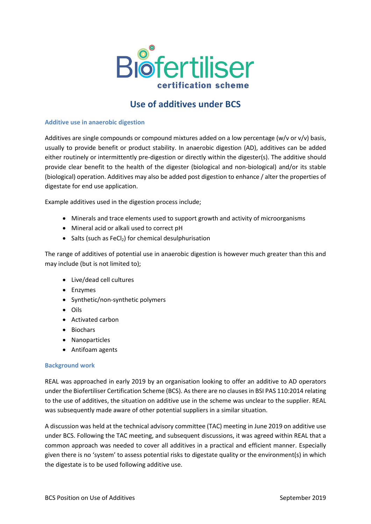

# **Use of additives under BCS**

### **Additive use in anaerobic digestion**

Additives are single compounds or compound mixtures added on a low percentage (w/v or v/v) basis, usually to provide benefit or product stability. In anaerobic digestion (AD), additives can be added either routinely or intermittently pre-digestion or directly within the digester(s). The additive should provide clear benefit to the health of the digester (biological and non-biological) and/or its stable (biological) operation. Additives may also be added post digestion to enhance / alter the properties of digestate for end use application.

Example additives used in the digestion process include;

- Minerals and trace elements used to support growth and activity of microorganisms
- Mineral acid or alkali used to correct pH
- Salts (such as FeCl<sub>2</sub>) for chemical desulphurisation

The range of additives of potential use in anaerobic digestion is however much greater than this and may include (but is not limited to);

- Live/dead cell cultures
- Enzymes
- Synthetic/non-synthetic polymers
- Oils
- Activated carbon
- Biochars
- Nanoparticles
- Antifoam agents

#### **Background work**

REAL was approached in early 2019 by an organisation looking to offer an additive to AD operators under the Biofertiliser Certification Scheme (BCS). As there are no clauses in BSI PAS 110:2014 relating to the use of additives, the situation on additive use in the scheme was unclear to the supplier. REAL was subsequently made aware of other potential suppliers in a similar situation.

A discussion was held at the technical advisory committee (TAC) meeting in June 2019 on additive use under BCS. Following the TAC meeting, and subsequent discussions, it was agreed within REAL that a common approach was needed to cover all additives in a practical and efficient manner. Especially given there is no 'system' to assess potential risks to digestate quality or the environment(s) in which the digestate is to be used following additive use.